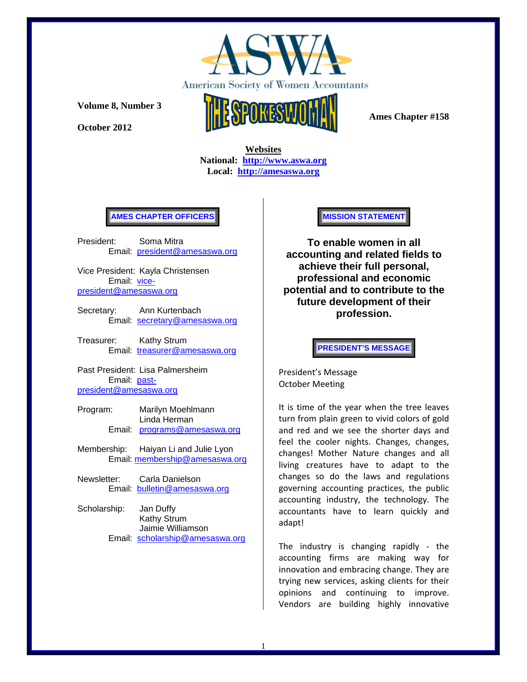

**October 2012** 



 **Ames Chapter #158** 

 **Websites National: http://www.aswa.org Local: http://amesaswa.org**

## **AMES CHAPTER OFFICERS**

President: Soma Mitra Email: president@amesaswa.org

Vice President: Kayla Christensen Email: vicepresident@amesaswa.org

- Secretary: Ann Kurtenbach Email: secretary@amesaswa.org
- Treasurer: Kathy Strum Email: treasurer@amesaswa.org

Past President: Lisa Palmersheim Email: pastpresident@amesaswa.org

- Program: Marilyn Moehlmann Linda Herman Email: programs@amesaswa.org
- Membership: Haiyan Li and Julie Lyon Email: membership@amesaswa.org
- Newsletter: Carla Danielson Email: bulletin@amesaswa.org
- Scholarship: Jan Duffy Kathy Strum Jaimie Williamson Email: scholarship@amesaswa.org

#### **MISSION STATEMENT**

**To enable women in all accounting and related fields to achieve their full personal, professional and economic potential and to contribute to the future development of their profession.**

**PRESIDENT'S MESSAGE** 

President's Message October Meeting

It is time of the year when the tree leaves turn from plain green to vivid colors of gold and red and we see the shorter days and feel the cooler nights. Changes, changes, changes! Mother Nature changes and all living creatures have to adapt to the changes so do the laws and regulations governing accounting practices, the public accounting industry, the technology. The accountants have to learn quickly and adapt!

The industry is changing rapidly ‐ the accounting firms are making way for innovation and embracing change. They are trying new services, asking clients for their opinions and continuing to improve. Vendors are building highly innovative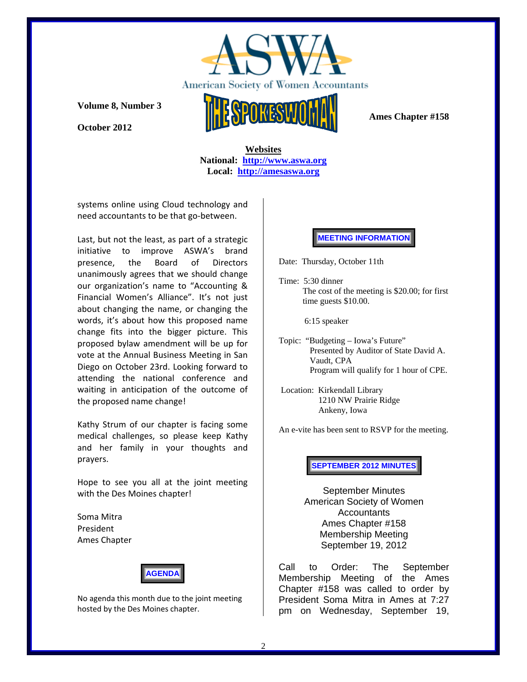

**October 2012** 



 **Ames Chapter #158** 

 **Websites National: http://www.aswa.org Local: http://amesaswa.org**

systems online using Cloud technology and need accountants to be that go‐between.

Last, but not the least, as part of a strategic initiative to improve ASWA's brand presence, the Board of Directors unanimously agrees that we should change our organization's name to "Accounting & Financial Women's Alliance". It's not just about changing the name, or changing the words, it's about how this proposed name change fits into the bigger picture. This proposed bylaw amendment will be up for vote at the Annual Business Meeting in San Diego on October 23rd. Looking forward to attending the national conference and waiting in anticipation of the outcome of the proposed name change!

Kathy Strum of our chapter is facing some medical challenges, so please keep Kathy and her family in your thoughts and prayers.

Hope to see you all at the joint meeting with the Des Moines chapter!

Soma Mitra President Ames Chapter



No agenda this month due to the joint meeting hosted by the Des Moines chapter.

# **MEETING INFORMATION**

Date: Thursday, October 11th

Time: 5:30 dinner The cost of the meeting is \$20.00; for first time guests \$10.00.

6:15 speaker

Topic: "Budgeting – Iowa's Future" Presented by Auditor of State David A. Vaudt, CPA Program will qualify for 1 hour of CPE.

 Location: Kirkendall Library 1210 NW Prairie Ridge Ankeny, Iowa

An e-vite has been sent to RSVP for the meeting.

**SEPTEMBER 2012 MINUTES**

September Minutes American Society of Women **Accountants** Ames Chapter #158 Membership Meeting September 19, 2012

Call to Order: The September Membership Meeting of the Ames Chapter #158 was called to order by President Soma Mitra in Ames at 7:27 pm on Wednesday, September 19,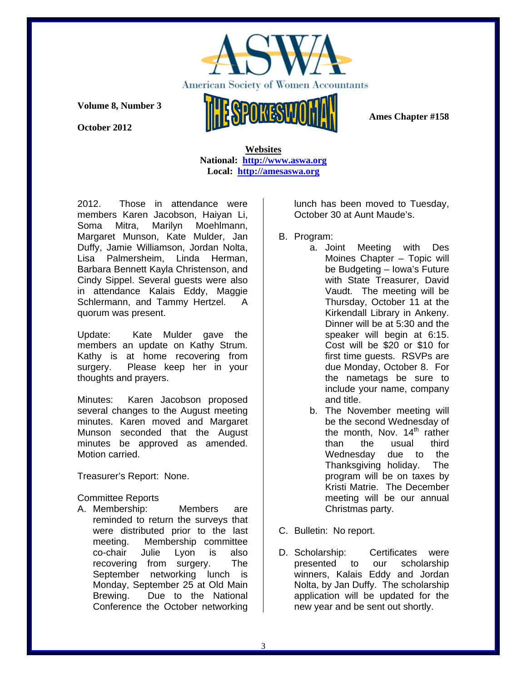

**October 2012** 



 **Ames Chapter #158** 

 **Websites National: http://www.aswa.org Local: http://amesaswa.org**

2012. Those in attendance were members Karen Jacobson, Haiyan Li, Soma Mitra, Marilyn Moehlmann, Margaret Munson, Kate Mulder, Jan Duffy, Jamie Williamson, Jordan Nolta, Lisa Palmersheim, Linda Herman, Barbara Bennett Kayla Christenson, and Cindy Sippel. Several guests were also in attendance Kalais Eddy, Maggie Schlermann, and Tammy Hertzel. A quorum was present.

Update: Kate Mulder gave the members an update on Kathy Strum. Kathy is at home recovering from surgery. Please keep her in your thoughts and prayers.

Minutes: Karen Jacobson proposed several changes to the August meeting minutes. Karen moved and Margaret Munson seconded that the August minutes be approved as amended. Motion carried.

Treasurer's Report: None.

Committee Reports

A. Membership: Members are reminded to return the surveys that were distributed prior to the last meeting. Membership committee co-chair Julie Lyon is also recovering from surgery. The September networking lunch is Monday, September 25 at Old Main Brewing. Due to the National Conference the October networking

lunch has been moved to Tuesday, October 30 at Aunt Maude's.

- B. Program:
	- a. Joint Meeting with Des Moines Chapter – Topic will be Budgeting – Iowa's Future with State Treasurer, David Vaudt. The meeting will be Thursday, October 11 at the Kirkendall Library in Ankeny. Dinner will be at 5:30 and the speaker will begin at 6:15. Cost will be \$20 or \$10 for first time guests. RSVPs are due Monday, October 8. For the nametags be sure to include your name, company and title.
	- b. The November meeting will be the second Wednesday of the month, Nov.  $14<sup>th</sup>$  rather than the usual third Wednesday due to the Thanksgiving holiday. The program will be on taxes by Kristi Matrie. The December meeting will be our annual Christmas party.
- C. Bulletin: No report.
- D. Scholarship: Certificates were presented to our scholarship winners, Kalais Eddy and Jordan Nolta, by Jan Duffy. The scholarship application will be updated for the new year and be sent out shortly.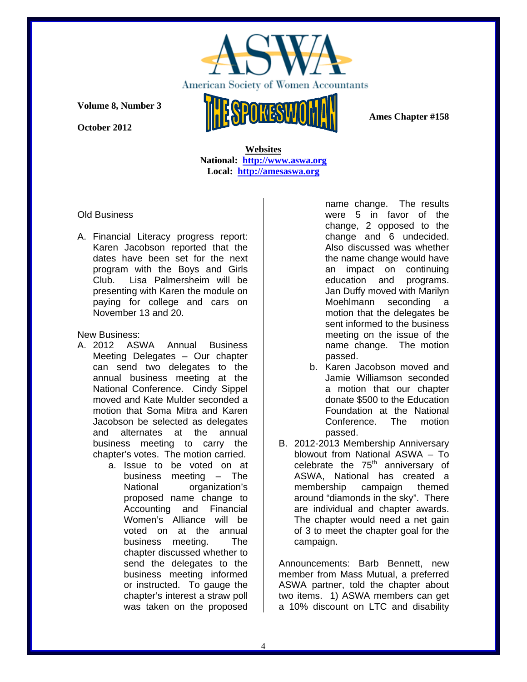

**October 2012** 

 **Ames Chapter #158** 

 **Websites National: http://www.aswa.org Local: http://amesaswa.org**

Old Business

A. Financial Literacy progress report: Karen Jacobson reported that the dates have been set for the next program with the Boys and Girls Club. Lisa Palmersheim will be presenting with Karen the module on paying for college and cars on November 13 and 20.

New Business:

- A. 2012 ASWA Annual Business Meeting Delegates – Our chapter can send two delegates to the annual business meeting at the National Conference. Cindy Sippel moved and Kate Mulder seconded a motion that Soma Mitra and Karen Jacobson be selected as delegates and alternates at the annual business meeting to carry the chapter's votes. The motion carried.
	- a. Issue to be voted on at business meeting – The National organization's proposed name change to Accounting and Financial Women's Alliance will be voted on at the annual business meeting. The chapter discussed whether to send the delegates to the business meeting informed or instructed. To gauge the chapter's interest a straw poll was taken on the proposed

name change. The results were 5 in favor of the change, 2 opposed to the change and 6 undecided. Also discussed was whether the name change would have an impact on continuing education and programs. Jan Duffy moved with Marilyn Moehlmann seconding a motion that the delegates be sent informed to the business meeting on the issue of the name change. The motion passed.

- b. Karen Jacobson moved and Jamie Williamson seconded a motion that our chapter donate \$500 to the Education Foundation at the National Conference. The motion passed.
- B. 2012-2013 Membership Anniversary blowout from National ASWA – To celebrate the  $75<sup>th</sup>$  anniversary of ASWA, National has created a membership campaign themed around "diamonds in the sky". There are individual and chapter awards. The chapter would need a net gain of 3 to meet the chapter goal for the campaign.

Announcements: Barb Bennett, new member from Mass Mutual, a preferred ASWA partner, told the chapter about two items. 1) ASWA members can get a 10% discount on LTC and disability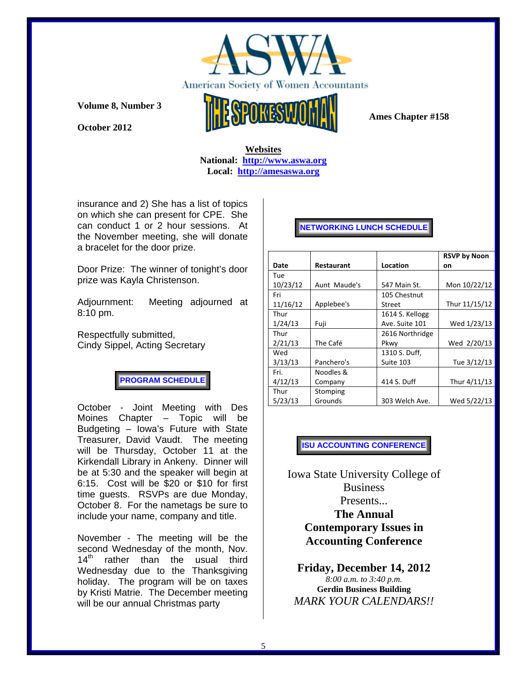

**October 2012** 



 **Ames Chapter #158** 

### **Websites National: http://www.aswa.org Local: http://amesaswa.org**

insurance and 2) She has a list of topics on which she can present for CPE. She can conduct 1 or 2 hour sessions. At the November meeting, she will donate a bracelet for the door prize.

Door Prize: The winner of tonight's door prize was Kayla Christenson.

Adjournment: Meeting adjourned at 8:10 pm.

Respectfully submitted, Cindy Sippel, Acting Secretary

**PROGRAM SCHEDULE** 

October - Joint Meeting with Des Moines Chapter – Topic will be Budgeting – Iowa's Future with State Treasurer, David Vaudt. The meeting will be Thursday, October 11 at the Kirkendall Library in Ankeny. Dinner will be at 5:30 and the speaker will begin at 6:15. Cost will be \$20 or \$10 for first time guests. RSVPs are due Monday, October 8. For the nametags be sure to include your name, company and title.

November - The meeting will be the second Wednesday of the month, Nov.<br>14<sup>th</sup> rather than the usual third rather than the usual third Wednesday due to the Thanksgiving holiday. The program will be on taxes by Kristi Matrie. The December meeting will be our annual Christmas party

# **NETWORKING LUNCH SCHEDULE**

|          |                   |                 | <b>RSVP by Noon</b> |
|----------|-------------------|-----------------|---------------------|
| Date     | <b>Restaurant</b> | Location        | on                  |
| Tue      |                   |                 |                     |
| 10/23/12 | Aunt Maude's      | 547 Main St.    | Mon 10/22/12        |
| Fri      |                   | 105 Chestnut    |                     |
| 11/16/12 | Applebee's        | Street          | Thur 11/15/12       |
| Thur     |                   | 1614 S. Kellogg |                     |
| 1/24/13  | Fuji              | Ave. Suite 101  | Wed 1/23/13         |
| Thur     |                   | 2616 Northridge |                     |
| 2/21/13  | The Café          | Pkwy            | Wed 2/20/13         |
| Wed      |                   | 1310 S. Duff,   |                     |
| 3/13/13  | Panchero's        | Suite 103       | Tue 3/12/13         |
| Fri.     | Noodles &         |                 |                     |
| 4/12/13  | Company           | 414 S. Duff     | Thur 4/11/13        |
| Thur     | Stomping          |                 |                     |
| 5/23/13  | Grounds           | 303 Welch Ave.  | Wed 5/22/13         |

# **ISU ACCOUNTING CONFERENCE**

Iowa State University College of Business Presents... **The Annual Contemporary Issues in Accounting Conference**

**Friday, December 14, 2012** *8:00 a.m. to 3:40 p.m.* **Gerdin Business Building** *MARK YOUR CALENDARS!!*